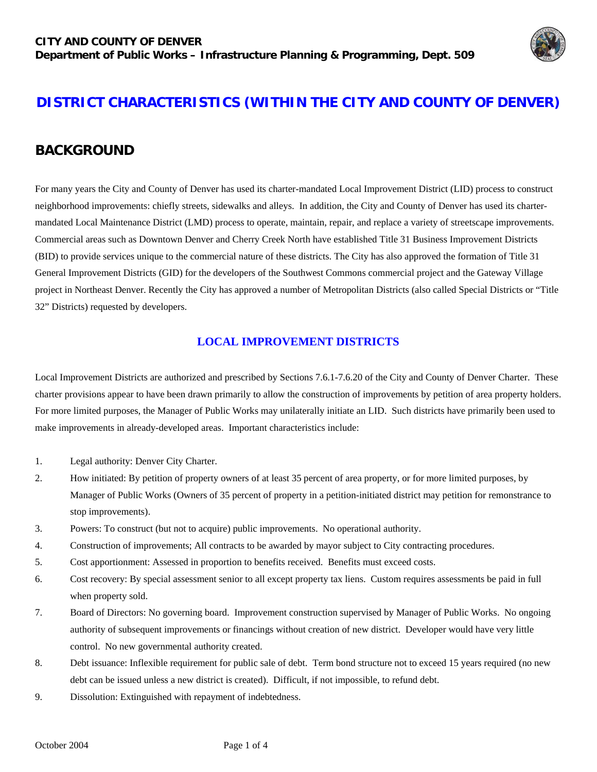

# **DISTRICT CHARACTERISTICS (WITHIN THE CITY AND COUNTY OF DENVER)**

# **BACKGROUND**

For many years the City and County of Denver has used its charter-mandated Local Improvement District (LID) process to construct neighborhood improvements: chiefly streets, sidewalks and alleys. In addition, the City and County of Denver has used its chartermandated Local Maintenance District (LMD) process to operate, maintain, repair, and replace a variety of streetscape improvements. Commercial areas such as Downtown Denver and Cherry Creek North have established Title 31 Business Improvement Districts (BID) to provide services unique to the commercial nature of these districts. The City has also approved the formation of Title 31 General Improvement Districts (GID) for the developers of the Southwest Commons commercial project and the Gateway Village project in Northeast Denver. Recently the City has approved a number of Metropolitan Districts (also called Special Districts or "Title 32" Districts) requested by developers.

#### **LOCAL IMPROVEMENT DISTRICTS**

Local Improvement Districts are authorized and prescribed by Sections 7.6.1-7.6.20 of the City and County of Denver Charter. These charter provisions appear to have been drawn primarily to allow the construction of improvements by petition of area property holders. For more limited purposes, the Manager of Public Works may unilaterally initiate an LID. Such districts have primarily been used to make improvements in already-developed areas. Important characteristics include:

- 1. Legal authority: Denver City Charter.
- 2. How initiated: By petition of property owners of at least 35 percent of area property, or for more limited purposes, by Manager of Public Works (Owners of 35 percent of property in a petition-initiated district may petition for remonstrance to stop improvements).
- 3. Powers: To construct (but not to acquire) public improvements. No operational authority.
- 4. Construction of improvements; All contracts to be awarded by mayor subject to City contracting procedures.
- 5. Cost apportionment: Assessed in proportion to benefits received. Benefits must exceed costs.
- 6. Cost recovery: By special assessment senior to all except property tax liens. Custom requires assessments be paid in full when property sold.
- 7. Board of Directors: No governing board. Improvement construction supervised by Manager of Public Works. No ongoing authority of subsequent improvements or financings without creation of new district. Developer would have very little control. No new governmental authority created.
- 8. Debt issuance: Inflexible requirement for public sale of debt. Term bond structure not to exceed 15 years required (no new debt can be issued unless a new district is created). Difficult, if not impossible, to refund debt.
- 9. Dissolution: Extinguished with repayment of indebtedness.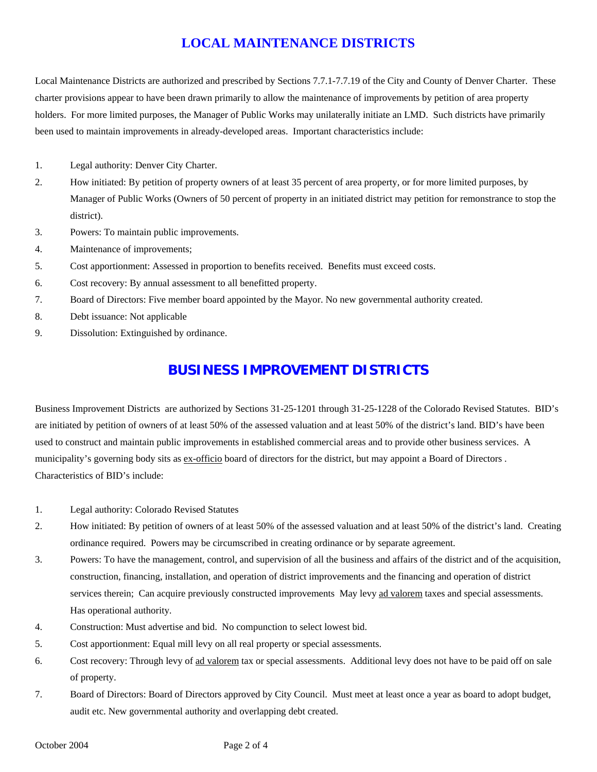## **LOCAL MAINTENANCE DISTRICTS**

Local Maintenance Districts are authorized and prescribed by Sections 7.7.1-7.7.19 of the City and County of Denver Charter. These charter provisions appear to have been drawn primarily to allow the maintenance of improvements by petition of area property holders. For more limited purposes, the Manager of Public Works may unilaterally initiate an LMD. Such districts have primarily been used to maintain improvements in already-developed areas. Important characteristics include:

- 1. Legal authority: Denver City Charter.
- 2. How initiated: By petition of property owners of at least 35 percent of area property, or for more limited purposes, by Manager of Public Works (Owners of 50 percent of property in an initiated district may petition for remonstrance to stop the district).
- 3. Powers: To maintain public improvements.
- 4. Maintenance of improvements;
- 5. Cost apportionment: Assessed in proportion to benefits received. Benefits must exceed costs.
- 6. Cost recovery: By annual assessment to all benefitted property.
- 7. Board of Directors: Five member board appointed by the Mayor. No new governmental authority created.
- 8. Debt issuance: Not applicable
- 9. Dissolution: Extinguished by ordinance.

#### **BUSINESS IMPROVEMENT DISTRICTS**

Business Improvement Districts are authorized by Sections 31-25-1201 through 31-25-1228 of the Colorado Revised Statutes. BID's are initiated by petition of owners of at least 50% of the assessed valuation and at least 50% of the district's land. BID's have been used to construct and maintain public improvements in established commercial areas and to provide other business services. A municipality's governing body sits as ex-officio board of directors for the district, but may appoint a Board of Directors . Characteristics of BID's include:

- 1. Legal authority: Colorado Revised Statutes
- 2. How initiated: By petition of owners of at least 50% of the assessed valuation and at least 50% of the district's land. Creating ordinance required. Powers may be circumscribed in creating ordinance or by separate agreement.
- 3. Powers: To have the management, control, and supervision of all the business and affairs of the district and of the acquisition, construction, financing, installation, and operation of district improvements and the financing and operation of district services therein; Can acquire previously constructed improvements May levy ad valorem taxes and special assessments. Has operational authority.
- 4. Construction: Must advertise and bid. No compunction to select lowest bid.
- 5. Cost apportionment: Equal mill levy on all real property or special assessments.
- 6. Cost recovery: Through levy of ad valorem tax or special assessments. Additional levy does not have to be paid off on sale of property.
- 7. Board of Directors: Board of Directors approved by City Council. Must meet at least once a year as board to adopt budget, audit etc. New governmental authority and overlapping debt created.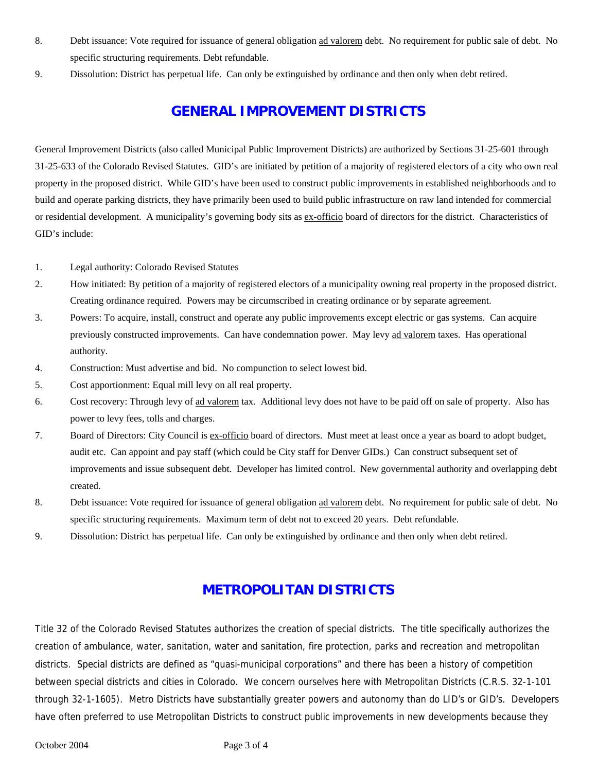- 8. Debt issuance: Vote required for issuance of general obligation ad valorem debt. No requirement for public sale of debt. No specific structuring requirements. Debt refundable.
- 9. Dissolution: District has perpetual life. Can only be extinguished by ordinance and then only when debt retired.

### **GENERAL IMPROVEMENT DISTRICTS**

General Improvement Districts (also called Municipal Public Improvement Districts) are authorized by Sections 31-25-601 through 31-25-633 of the Colorado Revised Statutes. GID's are initiated by petition of a majority of registered electors of a city who own real property in the proposed district. While GID's have been used to construct public improvements in established neighborhoods and to build and operate parking districts, they have primarily been used to build public infrastructure on raw land intended for commercial or residential development. A municipality's governing body sits as ex-officio board of directors for the district. Characteristics of GID's include:

- 1. Legal authority: Colorado Revised Statutes
- 2. How initiated: By petition of a majority of registered electors of a municipality owning real property in the proposed district. Creating ordinance required. Powers may be circumscribed in creating ordinance or by separate agreement.
- 3. Powers: To acquire, install, construct and operate any public improvements except electric or gas systems. Can acquire previously constructed improvements. Can have condemnation power. May levy ad valorem taxes. Has operational authority.
- 4. Construction: Must advertise and bid. No compunction to select lowest bid.
- 5. Cost apportionment: Equal mill levy on all real property.
- 6. Cost recovery: Through levy of ad valorem tax. Additional levy does not have to be paid off on sale of property. Also has power to levy fees, tolls and charges.
- 7. Board of Directors: City Council is ex-officio board of directors. Must meet at least once a year as board to adopt budget, audit etc. Can appoint and pay staff (which could be City staff for Denver GIDs.) Can construct subsequent set of improvements and issue subsequent debt. Developer has limited control. New governmental authority and overlapping debt created.
- 8. Debt issuance: Vote required for issuance of general obligation ad valorem debt. No requirement for public sale of debt. No specific structuring requirements. Maximum term of debt not to exceed 20 years. Debt refundable.
- 9. Dissolution: District has perpetual life. Can only be extinguished by ordinance and then only when debt retired.

#### **METROPOLITAN DISTRICTS**

Title 32 of the Colorado Revised Statutes authorizes the creation of special districts. The title specifically authorizes the creation of ambulance, water, sanitation, water and sanitation, fire protection, parks and recreation and metropolitan districts. Special districts are defined as "quasi-municipal corporations" and there has been a history of competition between special districts and cities in Colorado. We concern ourselves here with Metropolitan Districts (C.R.S. 32-1-101 through 32-1-1605). Metro Districts have substantially greater powers and autonomy than do LID's or GID's. Developers have often preferred to use Metropolitan Districts to construct public improvements in new developments because they